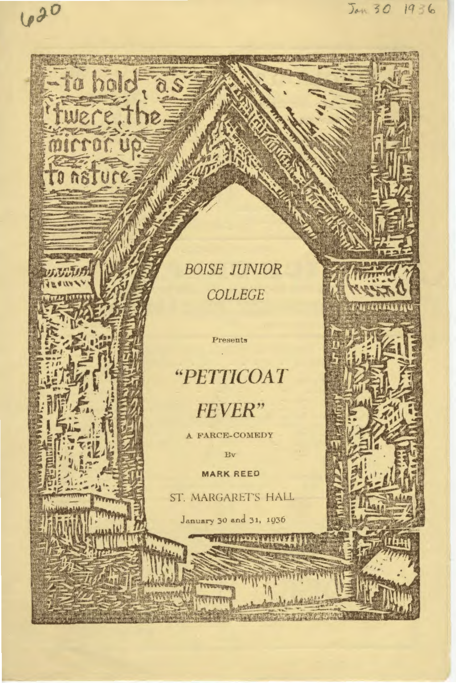## **BOISE JUNIOR** COLLEGE

Jan 30 1936

620

to hold, as

nsture

## "PETTICOAT **FEVER"**

Presents

A FARCE-COMEDY

Bv

**MARK REED** 

ST. MARGARET'S HALL

January 30 and 31, 1936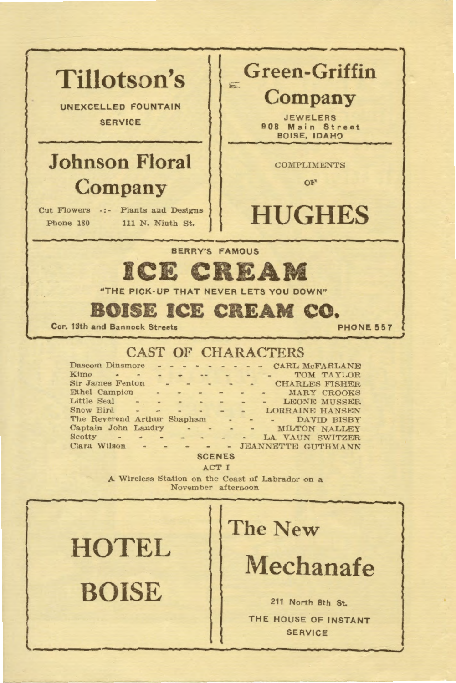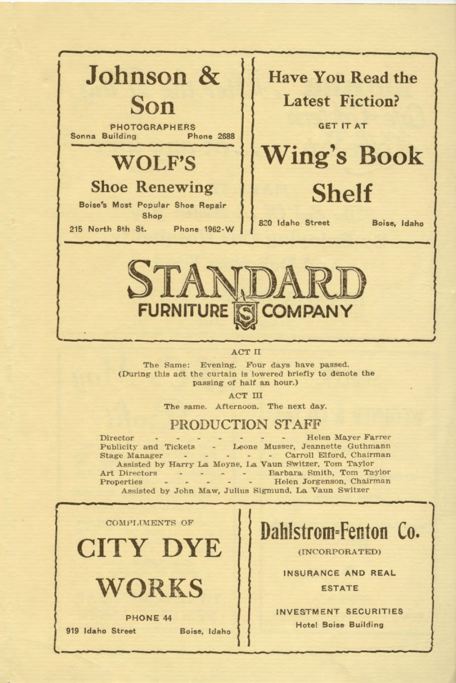

## ACT II

The Same: Evening. Four days have passed. (During this act the curtain is lowered briefly to denote the passing of half an hour.)

ACT ill

The same. Afternoon. The next day.

## PRODUCTION STAFF

Director • - - - - - - Helen Mayer Farrer Publicity and Tickets - Leone Musser, Jeannette Guthmann Stage Manager - - - - - Carroll Elford, Chairman Assisted by Harry La Moyne, La Vaun Switzer, Tom Taylor Art Directors - - - - Barbara Smith, Tom Taylor Properties - - - - - Helen Jorgenson, Chairman Assisted by John Maw, Julius Sigmund, La Vaun Switzer



**Dahlstrom=Fenton Co.** 

(INCORPORATED)

INSURANCE ANO REAL **ESTATE** 

INVESTMENT SECURITIES Hotel Boise Building